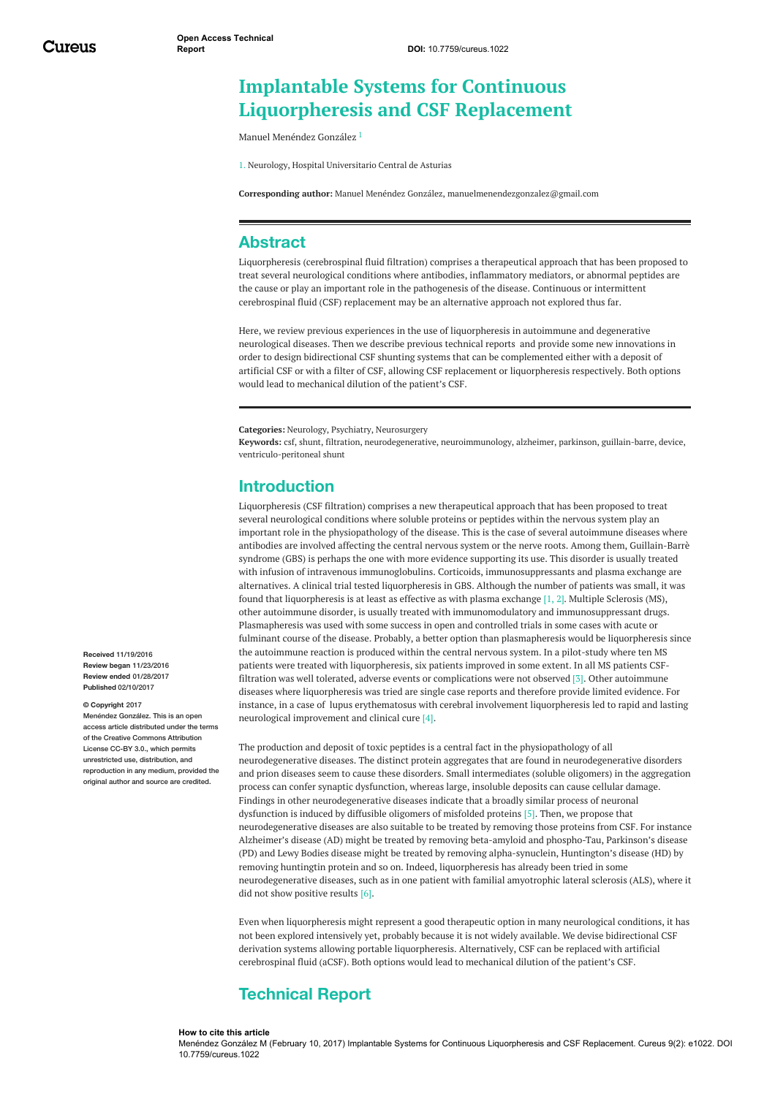# **Implantable Systems for Continuous Liquorpheresis and CSF Replacement**

Manuel [Menéndez](https://www.cureus.com/users/18735-manuel-men-ndez-gonz-lez) González 1

1. Neurology, Hospital Universitario Central de Asturias

**Corresponding author:** Manuel Menéndez González, manuelmenendezgonzalez@gmail.com

# **Abstract**

Liquorpheresis (cerebrospinal fluid filtration) comprises a therapeutical approach that has been proposed to treat several neurological conditions where antibodies, inflammatory mediators, or abnormal peptides are the cause or play an important role in the pathogenesis of the disease. Continuous or intermittent cerebrospinal fluid (CSF) replacement may be an alternative approach not explored thus far.

Here, we review previous experiences in the use of liquorpheresis in autoimmune and degenerative neurological diseases. Then we describe previous technical reports and provide some new innovations in order to design bidirectional CSF shunting systems that can be complemented either with a deposit of artificial CSF or with a filter of CSF, allowing CSF replacement or liquorpheresis respectively. Both options would lead to mechanical dilution of the patient's CSF.

**Categories:** Neurology, Psychiatry, Neurosurgery

**Keywords:** csf, shunt, filtration, neurodegenerative, neuroimmunology, alzheimer, parkinson, guillain-barre, device, ventriculo-peritoneal shunt

# **Introduction**

Liquorpheresis (CSF filtration) comprises a new therapeutical approach that has been proposed to treat several neurological conditions where soluble proteins or peptides within the nervous system play an important role in the physiopathology of the disease. This is the case of several autoimmune diseases where antibodies are involved affecting the central nervous system or the nerve roots. Among them, Guillain-Barrè syndrome (GBS) is perhaps the one with more evidence supporting its use. This disorder is usually treated with infusion of intravenous immunoglobulins. Corticoids, immunosuppressants and plasma exchange are alternatives. A clinical trial tested liquorpheresis in GBS. Although the number of patients was small, it was found that liquorpheresis is at least as effective as with plasma exchange [1, 2]. Multiple Sclerosis (MS), other autoimmune disorder, is usually treated with immunomodulatory and immunosuppressant drugs. Plasmapheresis was used with some success in open and controlled trials in some cases with acute or fulminant course of the disease. Probably, a better option than plasmapheresis would be liquorpheresis since the autoimmune reaction is produced within the central nervous system. In a pilot-study where ten MS patients were treated with liquorpheresis, six patients improved in some extent. In all MS patients CSFfiltration was well tolerated, adverse events or complications were not observed [3]. Other autoimmune diseases where liquorpheresis was tried are single case reports and therefore provide limited evidence. For instance, in a case of lupus erythematosus with cerebral involvement liquorpheresis led to rapid and lasting neurological improvement and clinical cure [4].

The production and deposit of toxic peptides is a central fact in the physiopathology of all neurodegenerative diseases. The distinct protein aggregates that are found in neurodegenerative disorders and prion diseases seem to cause these disorders. Small intermediates (soluble oligomers) in the aggregation process can confer synaptic dysfunction, whereas large, insoluble deposits can cause cellular damage. Findings in other neurodegenerative diseases indicate that a broadly similar process of neuronal dysfunction is induced by diffusible oligomers of misfolded proteins [5]. Then, we propose that neurodegenerative diseases are also suitable to be treated by removing those proteins from CSF. For instance Alzheimer's disease (AD) might be treated by removing beta-amyloid and phospho-Tau, Parkinson's disease (PD) and Lewy Bodies disease might be treated by removing alpha-synuclein, Huntington's disease (HD) by removing huntingtin protein and so on. Indeed, liquorpheresis has already been tried in some neurodegenerative diseases, such as in one patient with familial amyotrophic lateral sclerosis (ALS), where it did not show positive results [6].

Even when liquorpheresis might represent a good therapeutic option in many neurological conditions, it has not been explored intensively yet, probably because it is not widely available. We devise bidirectional CSF derivation systems allowing portable liquorpheresis. Alternatively, CSF can be replaced with artificial cerebrospinal fluid (aCSF). Both options would lead to mechanical dilution of the patient's CSF.

# **Technical Report**

#### **How to cite this article**

Menéndez González M (February 10, 2017) Implantable Systems for Continuous Liquorpheresis and CSF Replacement. Cureus 9(2): e1022. DOI 10.7759/cureus.1022

**Received** 11/19/2016 **Review began** 11/23/2016 **Review ended** 01/28/2017 **Published** 02/10/2017

#### **© Copyright** 2017

Menéndez González. This is an open access article distributed under the terms of the Creative Commons Attribution License CC-BY 3.0., which permits unrestricted use, distribution, and reproduction in any medium, provided the original author and source are credited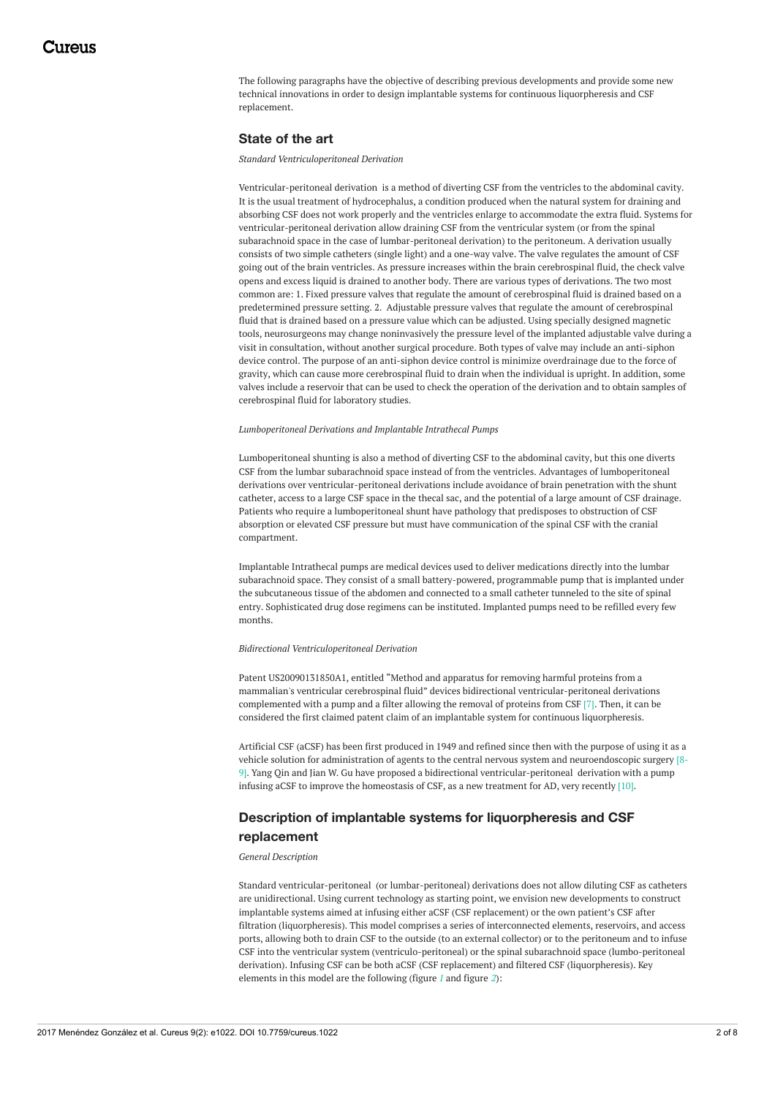The following paragraphs have the objective of describing previous developments and provide some new technical innovations in order to design implantable systems for continuous liquorpheresis and CSF replacement.

#### **State of the art**

*Standard Ventriculoperitoneal Derivation*

Ventricular-peritoneal derivation is a method of diverting CSF from the ventricles to the abdominal cavity. It is the usual treatment of hydrocephalus, a condition produced when the natural system for draining and absorbing CSF does not work properly and the ventricles enlarge to accommodate the extra fluid. Systems for ventricular-peritoneal derivation allow draining CSF from the ventricular system (or from the spinal subarachnoid space in the case of lumbar-peritoneal derivation) to the peritoneum. A derivation usually consists of two simple catheters (single light) and a one-way valve. The valve regulates the amount of CSF going out of the brain ventricles. As pressure increases within the brain cerebrospinal fluid, the check valve opens and excess liquid is drained to another body. There are various types of derivations. The two most common are: 1. Fixed pressure valves that regulate the amount of cerebrospinal fluid is drained based on a predetermined pressure setting. 2. Adjustable pressure valves that regulate the amount of cerebrospinal fluid that is drained based on a pressure value which can be adjusted. Using specially designed magnetic tools, neurosurgeons may change noninvasively the pressure level of the implanted adjustable valve during a visit in consultation, without another surgical procedure. Both types of valve may include an anti-siphon device control. The purpose of an anti-siphon device control is minimize overdrainage due to the force of gravity, which can cause more cerebrospinal fluid to drain when the individual is upright. In addition, some valves include a reservoir that can be used to check the operation of the derivation and to obtain samples of cerebrospinal fluid for laboratory studies.

#### *Lumboperitoneal Derivations and Implantable Intrathecal Pumps*

Lumboperitoneal shunting is also a method of diverting CSF to the abdominal cavity, but this one diverts CSF from the lumbar subarachnoid space instead of from the ventricles. Advantages of lumboperitoneal derivations over ventricular-peritoneal derivations include avoidance of brain penetration with the shunt catheter, access to a large CSF space in the thecal sac, and the potential of a large amount of CSF drainage. Patients who require a lumboperitoneal shunt have pathology that predisposes to obstruction of CSF absorption or elevated CSF pressure but must have communication of the spinal CSF with the cranial compartment.

Implantable Intrathecal pumps are medical devices used to deliver medications directly into the lumbar subarachnoid space. They consist of a small battery-powered, programmable pump that is implanted under the subcutaneous tissue of the abdomen and connected to a small catheter tunneled to the site of spinal entry. Sophisticated drug dose regimens can be instituted. Implanted pumps need to be refilled every few months.

#### *Bidirectional Ventriculoperitoneal Derivation*

Patent US20090131850A1, entitled "Method and apparatus for removing harmful proteins from a mammalian's ventricular cerebrospinal fluid" devices bidirectional ventricular-peritoneal derivations complemented with a pump and a filter allowing the removal of proteins from CSF [7]. Then, it can be considered the first claimed patent claim of an implantable system for continuous liquorpheresis.

Artificial CSF (aCSF) has been first produced in 1949 and refined since then with the purpose of using it as a vehicle solution for administration of agents to the central nervous system and neuroendoscopic surgery [8- 9]. Yang Qin and Jian W. Gu have proposed a bidirectional ventricular-peritoneal derivation with a pump infusing aCSF to improve the homeostasis of CSF, as a new treatment for AD, very recently [10].

## **Description of implantable systems for liquorpheresis and CSF replacement**

#### *General Description*

Standard ventricular-peritoneal (or lumbar-peritoneal) derivations does not allow diluting CSF as catheters are unidirectional. Using current technology as starting point, we envision new developments to construct implantable systems aimed at infusing either aCSF (CSF replacement) or the own patient's CSF after filtration (liquorpheresis). This model comprises a series of interconnected elements, reservoirs, and access ports, allowing both to drain CSF to the outside (to an external collector) or to the peritoneum and to infuse CSF into the ventricular system (ventriculo-peritoneal) or the spinal subarachnoid space (lumbo-peritoneal derivation). Infusing CSF can be both aCSF (CSF replacement) and filtered CSF (liquorpheresis). Key elements in this model are the following (figure *[1](#page-3-0)* and figure *[2](#page-4-0)*):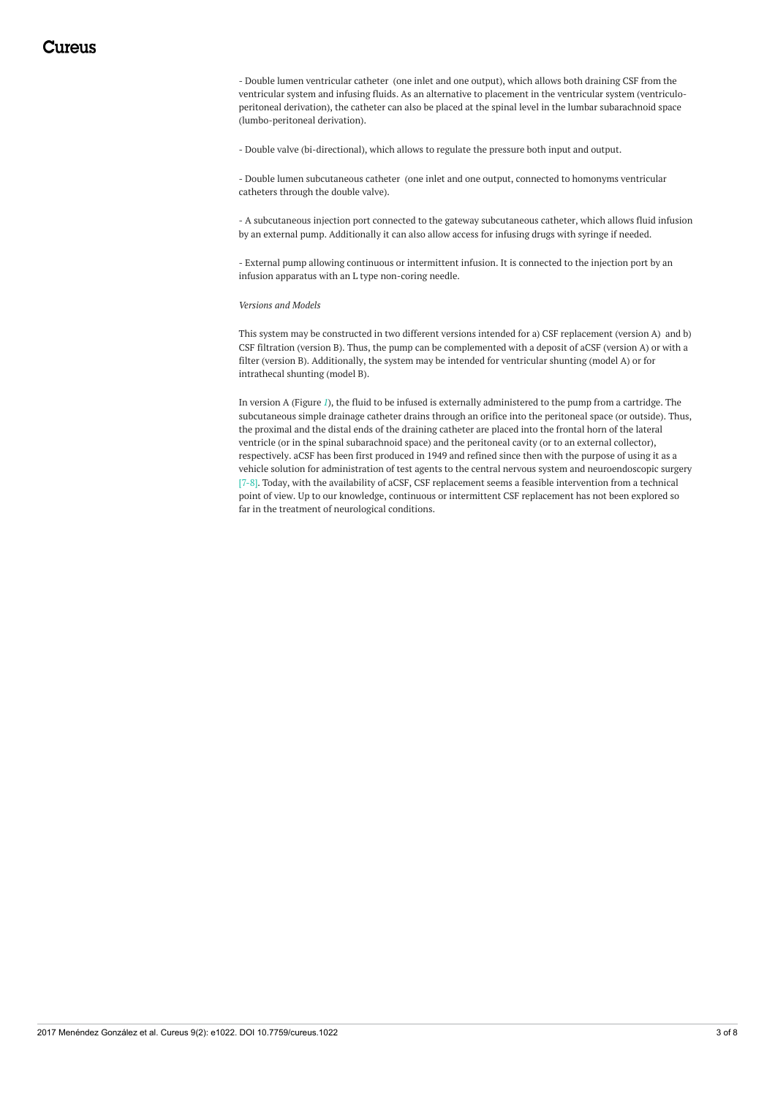- Double lumen ventricular catheter (one inlet and one output), which allows both draining CSF from the ventricular system and infusing fluids. As an alternative to placement in the ventricular system (ventriculoperitoneal derivation), the catheter can also be placed at the spinal level in the lumbar subarachnoid space (lumbo-peritoneal derivation).

- Double valve (bi-directional), which allows to regulate the pressure both input and output.

- Double lumen subcutaneous catheter (one inlet and one output, connected to homonyms ventricular catheters through the double valve).

- A subcutaneous injection port connected to the gateway subcutaneous catheter, which allows fluid infusion by an external pump. Additionally it can also allow access for infusing drugs with syringe if needed.

- External pump allowing continuous or intermittent infusion. It is connected to the injection port by an infusion apparatus with an L type non-coring needle.

#### *Versions and Models*

This system may be constructed in two different versions intended for a) CSF replacement (version A) and b) CSF filtration (version B). Thus, the pump can be complemented with a deposit of aCSF (version A) or with a filter (version B). Additionally, the system may be intended for ventricular shunting (model A) or for intrathecal shunting (model B).

In version A (Figure *[1](#page-3-0)*), the fluid to be infused is externally administered to the pump from a cartridge. The subcutaneous simple drainage catheter drains through an orifice into the peritoneal space (or outside). Thus, the proximal and the distal ends of the draining catheter are placed into the frontal horn of the lateral ventricle (or in the spinal subarachnoid space) and the peritoneal cavity (or to an external collector), respectively. aCSF has been first produced in 1949 and refined since then with the purpose of using it as a vehicle solution for administration of test agents to the central nervous system and neuroendoscopic surgery [7-8]. Today, with the availability of aCSF, CSF replacement seems a feasible intervention from a technical point of view. Up to our knowledge, continuous or intermittent CSF replacement has not been explored so far in the treatment of neurological conditions.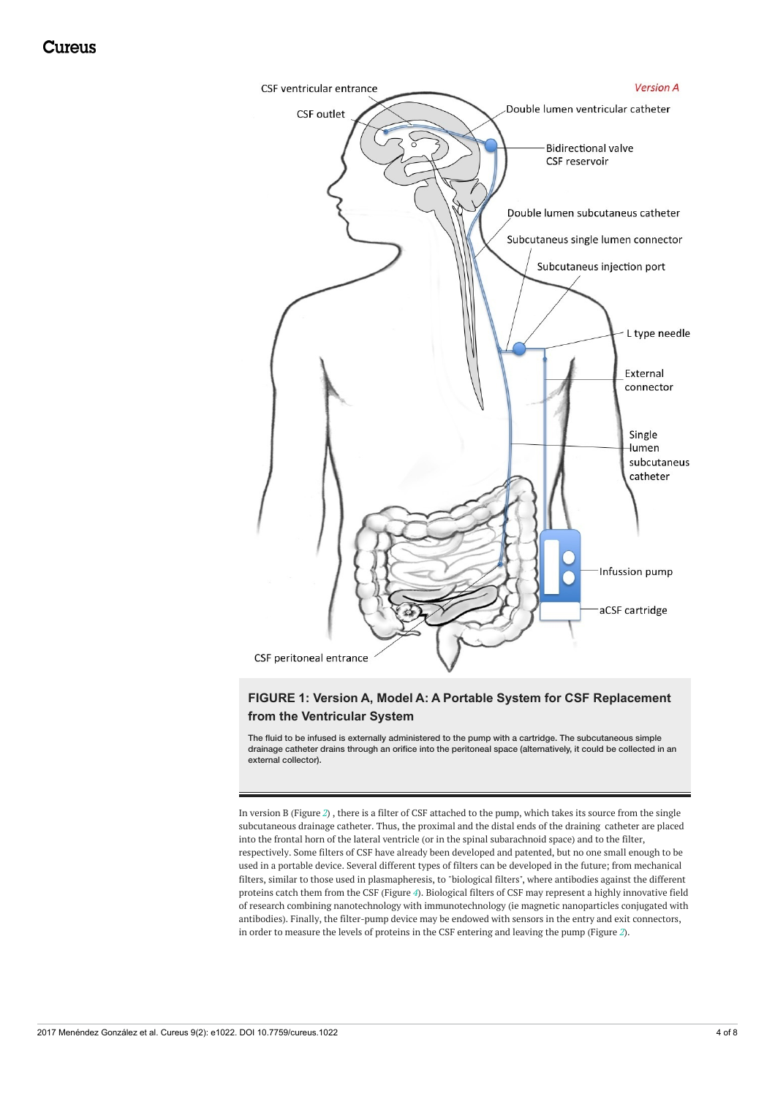<span id="page-3-0"></span>

## **FIGURE 1: Version A, Model A: A Portable System for CSF Replacement from the Ventricular System**

The fluid to be infused is externally administered to the pump with a cartridge. The subcutaneous simple drainage catheter drains through an orifice into the peritoneal space (alternatively, it could be collected in an external collector).

In version B (Figure *[2](#page-4-0)*) , there is a filter of CSF attached to the pump, which takes its source from the single subcutaneous drainage catheter. Thus, the proximal and the distal ends of the draining catheter are placed into the frontal horn of the lateral ventricle (or in the spinal subarachnoid space) and to the filter, respectively. Some filters of CSF have already been developed and patented, but no one small enough to be used in a portable device. Several different types of filters can be developed in the future; from mechanical filters, similar to those used in plasmapheresis, to "biological filters", where antibodies against the different proteins catch them from the CSF (Figure *[4](#page-5-0)*). Biological filters of CSF may represent a highly innovative field of research combining nanotechnology with immunotechnology (ie magnetic nanoparticles conjugated with antibodies). Finally, the filter-pump device may be endowed with sensors in the entry and exit connectors, in order to measure the levels of proteins in the CSF entering and leaving the pump (Figure *[2](#page-4-0)*).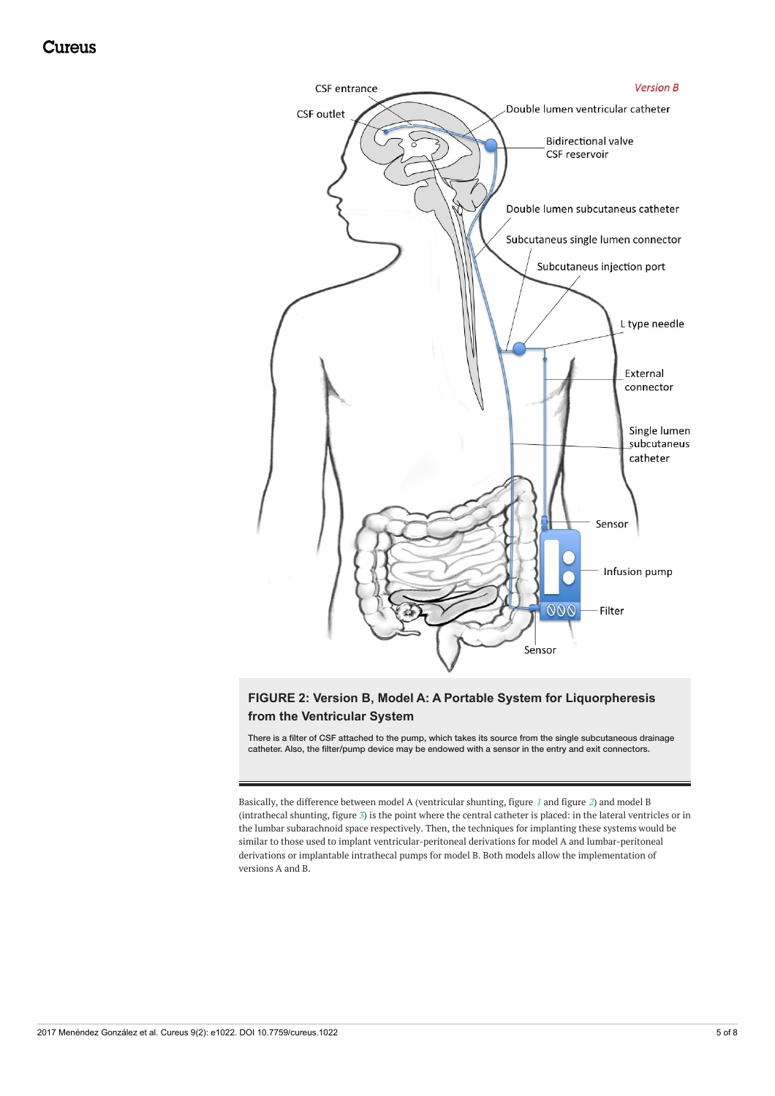<span id="page-4-0"></span>

## **FIGURE 2: Version B, Model A: A Portable System for Liquorpheresis from the Ventricular System**

There is a filter of CSF attached to the pump, which takes its source from the single subcutaneous drainage catheter. Also, the filter/pump device may be endowed with a sensor in the entry and exit connectors.

Basically, the difference between model A (ventricular shunting, figure *[1](#page-3-0)* and figure *[2](#page-4-0)*) and model B (intrathecal shunting, figure *[3](#page-5-1)*) is the point where the central catheter is placed: in the lateral ventricles or in the lumbar subarachnoid space respectively. Then, the techniques for implanting these systems would be similar to those used to implant ventricular-peritoneal derivations for model A and lumbar-peritoneal derivations or implantable intrathecal pumps for model B. Both models allow the implementation of versions A and B.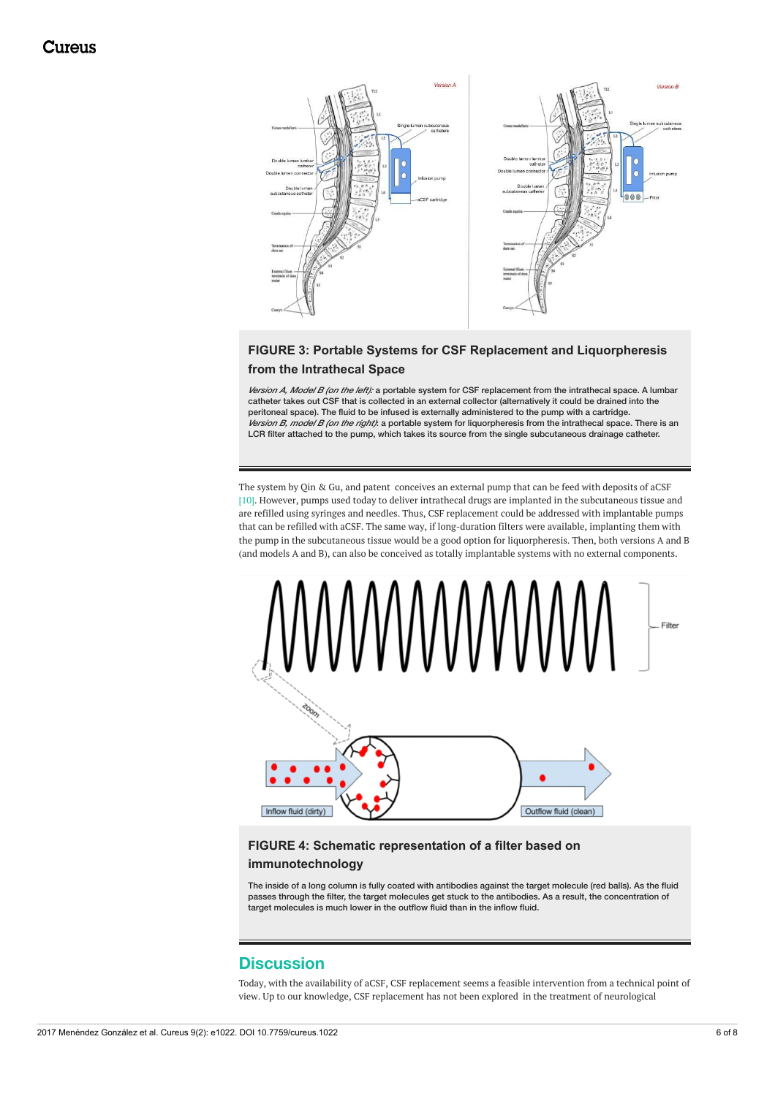<span id="page-5-1"></span>

## **FIGURE 3: Portable Systems for CSF Replacement and Liquorpheresis from the Intrathecal Space**

*Version A, Model B (on the left):* a portable system for CSF replacement from the intrathecal space. A lumbar catheter takes out CSF that is collected in an external collector (alternatively it could be drained into the peritoneal space). The fluid to be infused is externally administered to the pump with a cartridge. *Version B, model B (on the right)*: a portable system for liquorpheresis from the intrathecal space. There is an LCR filter attached to the pump, which takes its source from the single subcutaneous drainage catheter.

The system by Qin & Gu, and patent conceives an external pump that can be feed with deposits of aCSF [10]. However, pumps used today to deliver intrathecal drugs are implanted in the subcutaneous tissue and are refilled using syringes and needles. Thus, CSF replacement could be addressed with implantable pumps that can be refilled with aCSF. The same way, if long-duration filters were available, implanting them with the pump in the subcutaneous tissue would be a good option for liquorpheresis. Then, both versions A and B (and models A and B), can also be conceived as totally implantable systems with no external components.

<span id="page-5-0"></span>

# **FIGURE 4: Schematic representation of a filter based on**

### **immunotechnology**

The inside of a long column is fully coated with antibodies against the target molecule (red balls). As the fluid passes through the filter, the target molecules get stuck to the antibodies. As a result, the concentration of target molecules is much lower in the outflow fluid than in the inflow fluid.

## **Discussion**

Today, with the availability of aCSF, CSF replacement seems a feasible intervention from a technical point of view. Up to our knowledge, CSF replacement has not been explored in the treatment of neurological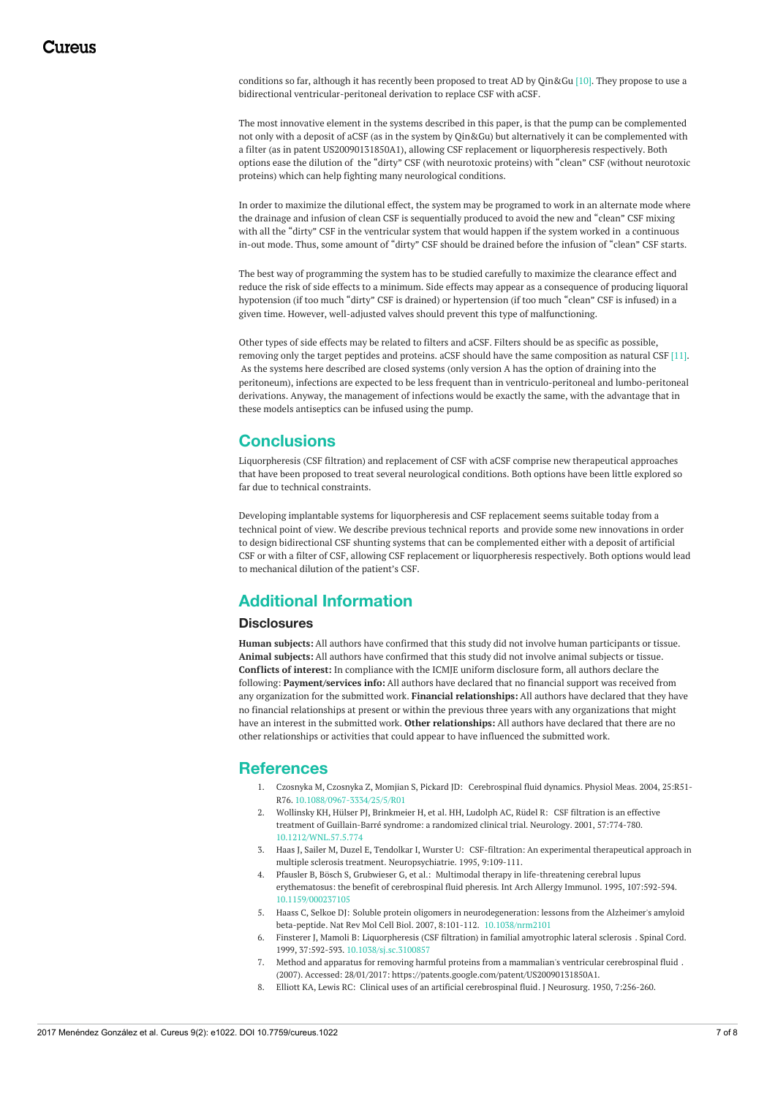conditions so far, although it has recently been proposed to treat AD by Qin&Gu [10]. They propose to use a bidirectional ventricular-peritoneal derivation to replace CSF with aCSF.

The most innovative element in the systems described in this paper, is that the pump can be complemented not only with a deposit of aCSF (as in the system by Qin&Gu) but alternatively it can be complemented with a filter (as in patent US20090131850A1), allowing CSF replacement or liquorpheresis respectively. Both options ease the dilution of the "dirty" CSF (with neurotoxic proteins) with "clean" CSF (without neurotoxic proteins) which can help fighting many neurological conditions.

In order to maximize the dilutional effect, the system may be programed to work in an alternate mode where the drainage and infusion of clean CSF is sequentially produced to avoid the new and "clean" CSF mixing with all the "dirty" CSF in the ventricular system that would happen if the system worked in a continuous in-out mode. Thus, some amount of "dirty" CSF should be drained before the infusion of "clean" CSF starts.

The best way of programming the system has to be studied carefully to maximize the clearance effect and reduce the risk of side effects to a minimum. Side effects may appear as a consequence of producing liquoral hypotension (if too much "dirty" CSF is drained) or hypertension (if too much "clean" CSF is infused) in a given time. However, well-adjusted valves should prevent this type of malfunctioning.

Other types of side effects may be related to filters and aCSF. Filters should be as specific as possible, removing only the target peptides and proteins. aCSF should have the same composition as natural CSF [11]. As the systems here described are closed systems (only version A has the option of draining into the peritoneum), infections are expected to be less frequent than in ventriculo-peritoneal and lumbo-peritoneal derivations. Anyway, the management of infections would be exactly the same, with the advantage that in these models antiseptics can be infused using the pump.

# **Conclusions**

Liquorpheresis (CSF filtration) and replacement of CSF with aCSF comprise new therapeutical approaches that have been proposed to treat several neurological conditions. Both options have been little explored so far due to technical constraints.

Developing implantable systems for liquorpheresis and CSF replacement seems suitable today from a technical point of view. We describe previous technical reports and provide some new innovations in order to design bidirectional CSF shunting systems that can be complemented either with a deposit of artificial CSF or with a filter of CSF, allowing CSF replacement or liquorpheresis respectively. Both options would lead to mechanical dilution of the patient's CSF.

# **Additional Information**

#### **Disclosures**

**Human subjects:** All authors have confirmed that this study did not involve human participants or tissue. **Animal subjects:** All authors have confirmed that this study did not involve animal subjects or tissue. **Conflicts of interest:** In compliance with the ICMJE uniform disclosure form, all authors declare the following: **Payment/services info:** All authors have declared that no financial support was received from any organization for the submitted work. **Financial relationships:** All authors have declared that they have no financial relationships at present or within the previous three years with any organizations that might have an interest in the submitted work. **Other relationships:** All authors have declared that there are no other relationships or activities that could appear to have influenced the submitted work.

## **References**

- 1. Czosnyka M, Czosnyka Z, Momjian S, Pickard JD: [Cerebrospinal](https://dx.doi.org/10.1088/0967-3334/25/5/R01) fluid dynamics. Physiol Meas. 2004, 25:R51- R76. [10.1088/0967-3334/25/5/R01](https://dx.doi.org/10.1088/0967-3334/25/5/R01)
- 2. Wollinsky KH, Hülser PJ, Brinkmeier H, et al. HH, Ludolph AC, Rüdel R: CSF filtration is an effective treatment of [Guillain-Barré](https://dx.doi.org/10.1212/WNL.57.5.774) syndrome: a randomized clinical trial. Neurology. 2001, 57:774-780. [10.1212/WNL.57.5.774](https://dx.doi.org/10.1212/WNL.57.5.774)
- 3. Haas J, Sailer M, Duzel E, Tendolkar I, Wurster U: CSF-filtration: An experimental therapeutical approach in multiple sclerosis treatment. [Neuropsychiatrie.](http://discovery.ucl.ac.uk/1383020/) 1995, 9:109-111.
- 4. Pfausler B, Bösch S, Grubwieser G, et al.: Multimodal therapy in [life-threatening](https://dx.doi.org/10.1159/000237105) cerebral lupus erythematosus: the benefit of cerebrospinal fluid pheresis. Int Arch Allergy Immunol. 1995, 107:592-594. [10.1159/000237105](https://dx.doi.org/10.1159/000237105)
- 5. Haass C, Selkoe DJ: Soluble protein oligomers in [neurodegeneration:](https://dx.doi.org/10.1038/nrm2101) lessons from the Alzheimer's amyloid beta-peptide. Nat Rev Mol Cell Biol. 2007, 8:101-112. [10.1038/nrm2101](https://dx.doi.org/10.1038/nrm2101)
- 6. Finsterer J, Mamoli B: [Liquorpheresis](https://dx.doi.org/10.1038/sj.sc.3100857) (CSF filtration) in familial amyotrophic lateral sclerosis . Spinal Cord. 1999, 37:592-593. [10.1038/sj.sc.3100857](https://dx.doi.org/10.1038/sj.sc.3100857)
- 7. Method and apparatus for removing harmful proteins from a mammalian's ventricular [cerebrospinal](https://patents.google.com/patent/US20090131850A1) fluid . (2007). Accessed: 28/01/2017: <https://patents.google.com/patent/US20090131850A1>.
- 8. Elliott KA, Lewis RC: Clinical uses of an artificial [cerebrospinal](https://dx.doi.org/10.3171/jns.1950.7.3.0256) fluid. J Neurosurg. 1950, 7:256-260.